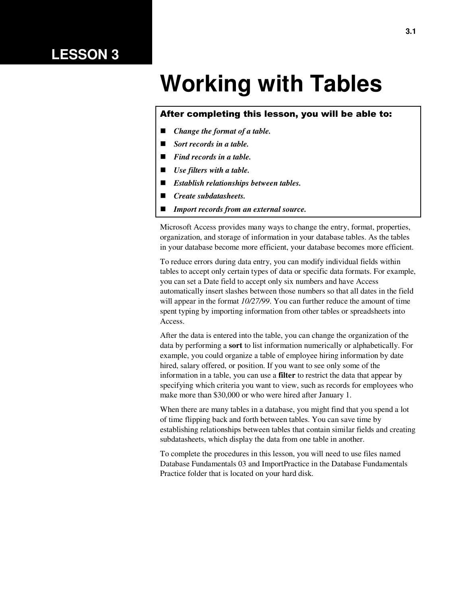## **LESSON 3**

# **Working with Tables**

#### After completing this lesson, you will be able to:

- *Change the format of a table.*
- *Sort records in a table.*
- *Find records in a table.*
- *Use filters with a table.*
- *Establish relationships between tables.*
- *Create subdatasheets.*
- *Import records from an external source.*

Microsoft Access provides many ways to change the entry, format, properties, organization, and storage of information in your database tables. As the tables in your database become more efficient, your database becomes more efficient.

To reduce errors during data entry, you can modify individual fields within tables to accept only certain types of data or specific data formats. For example, you can set a Date field to accept only six numbers and have Access automatically insert slashes between those numbers so that all dates in the field will appear in the format *10/27/99*. You can further reduce the amount of time spent typing by importing information from other tables or spreadsheets into Access.

After the data is entered into the table, you can change the organization of the data by performing a **sort** to list information numerically or alphabetically. For example, you could organize a table of employee hiring information by date hired, salary offered, or position. If you want to see only some of the information in a table, you can use a **filter** to restrict the data that appear by specifying which criteria you want to view, such as records for employees who make more than \$30,000 or who were hired after January 1.

When there are many tables in a database, you might find that you spend a lot of time flipping back and forth between tables. You can save time by establishing relationships between tables that contain similar fields and creating subdatasheets, which display the data from one table in another.

To complete the procedures in this lesson, you will need to use files named Database Fundamentals 03 and ImportPractice in the Database Fundamentals Practice folder that is located on your hard disk.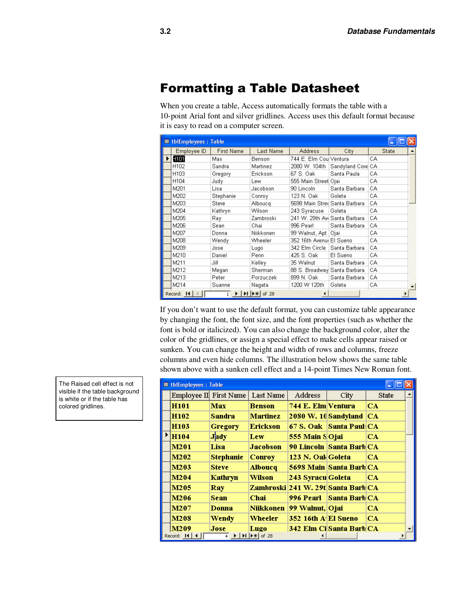### Formatting a Table Datasheet

When you create a table, Access automatically formats the table with a 10-point Arial font and silver gridlines. Access uses this default format because it is easy to read on a computer screen.

|   | <b>囲 tblEmployees: Table</b> |                   |                                        |                               |                   |              |                      |
|---|------------------------------|-------------------|----------------------------------------|-------------------------------|-------------------|--------------|----------------------|
|   | Employee ID                  | <b>First Name</b> | Last Name                              | <b>Address</b>                | Citγ              | <b>State</b> |                      |
| ▶ | H <sub>101</sub>             | Max               | Benson                                 | 744 E. Elm Coul Ventura       |                   | CA           |                      |
|   | H102                         | Sandra            | Martinez                               | 2080 W. 104th                 | Sandyland Cove CA |              |                      |
|   | H103                         | Gregory           | Erickson                               | 67 S. Oak                     | Santa Paula       | CA           |                      |
|   | H104                         | Judy              | Lew                                    | 555 Main Street Ojai          |                   | CA           |                      |
|   | M201                         | Lisa              | Jacobson                               | 90 Lincoln                    | Santa Barbara     | CA           |                      |
|   | M202                         | Stephanie         | Conroy                                 | 123 N. Oak                    | Goleta            | CA           |                      |
|   | M203                         | <b>Steve</b>      | Alboucq                                | 5698 Main Stree Santa Barbara |                   | CA           |                      |
|   | M204                         | Kathryn           | Wilson                                 | 243 Syracuse                  | Goleta            | CA           |                      |
|   | M205                         | Ray.              | Zambroski                              | 241 W. 29th Avi Santa Barbara |                   | CA           |                      |
|   | M206                         | Sean              | Chai                                   | 996 Pearl                     | Santa Barbara     | CA           |                      |
|   | M207                         | Donna             | Niikkonen                              | 99 Walnut, Apt   Ojai         |                   | CA           |                      |
|   | M208                         | Wendy             | Wheeler                                | 352 16th Avenul El Sueno      |                   | CA           |                      |
|   | M209                         | Jose              | Lugo                                   | 342 Elm Circle                | Santa Barbara     | CA           |                      |
|   | M210                         | Daniel            | Penn                                   | 425 S. Oak                    | El Sueno          | CA           |                      |
|   | M211                         | Jill              | Kelley                                 | 35 Walnut                     | Santa Barbara     | CA           |                      |
|   | M212                         | Megan             | Sherman                                | 88 S. Broadway Santa Barbara  |                   | CA           |                      |
|   | M213                         | Peter             | Porzuczek                              | 899 N. Oak                    | Santa Barbara     | CA.          |                      |
|   | M214                         | Suanne            | Nagata                                 | 1200 W 120th                  | Goleta            | CA           | $\blacktriangledown$ |
|   | Record: 14                   |                   | $1 \rightarrow  H $ $\rightarrow$ f 28 | $\blacktriangleleft$          |                   |              |                      |

If you don't want to use the default format, you can customize table appearance by changing the font, the font size, and the font properties (such as whether the font is bold or italicized). You can also change the background color, alter the color of the gridlines, or assign a special effect to make cells appear raised or sunken. You can change the height and width of rows and columns, freeze columns and even hide columns. The illustration below shows the same table shown above with a sunken cell effect and a 14-point Times New Roman font.

| <b>Ⅲ tblEmployees: Table</b> |                        |                                                                                                                                                                                                |                                    |                            |              |  |  |  |
|------------------------------|------------------------|------------------------------------------------------------------------------------------------------------------------------------------------------------------------------------------------|------------------------------------|----------------------------|--------------|--|--|--|
|                              | Employee II First Name | Last Name                                                                                                                                                                                      | Address                            | City                       | <b>State</b> |  |  |  |
| H <sub>101</sub>             | Max                    | Benson                                                                                                                                                                                         | 744 E. Elm Ventura                 |                            | CA           |  |  |  |
| H <sub>102</sub>             | <b>Sandra</b>          | Martinez                                                                                                                                                                                       |                                    | 2080 W. 10 Sandyland       | ICA.         |  |  |  |
| H <sub>103</sub>             | <b>Gregory</b>         | Erickson                                                                                                                                                                                       |                                    | 67 S. Oak Santa Paul CA    |              |  |  |  |
| H104                         | <b>Judy</b>            | Lew                                                                                                                                                                                            | 555 Main SOjai                     |                            | CA           |  |  |  |
| M201                         | Lisa                   | <b>Jacobson</b>                                                                                                                                                                                |                                    | 90 Lincoln   Santa Barb CA |              |  |  |  |
| M202                         | <b>Stephanie</b>       | <b>Conroy</b>                                                                                                                                                                                  | 123 N. Oak Goleta                  |                            | CA           |  |  |  |
| M203                         | <b>Steve</b>           | <b>Alboucq</b>                                                                                                                                                                                 |                                    | 5698 Main Santa Barb CA    |              |  |  |  |
| M204                         | <b>Kathryn</b>         | Wilson                                                                                                                                                                                         | 243 Syracu Goleta                  |                            | CA           |  |  |  |
| M205                         | <b>Ray</b>             |                                                                                                                                                                                                | Zambroski 241 W. 29t Santa Barb CA |                            |              |  |  |  |
| M206                         | <b>Sean</b>            | <b>Chai</b>                                                                                                                                                                                    |                                    | 996 Pearl Santa Barb CA    |              |  |  |  |
| M207                         | Donna                  | <b>Niikkonen</b>                                                                                                                                                                               | 99 Walnut, Ojai                    |                            | CA.          |  |  |  |
| M208                         | Wendy                  | Wheeler                                                                                                                                                                                        | 352 16th A El Sueno                |                            | CA           |  |  |  |
| M209                         | <b>Jose</b>            | Lugo                                                                                                                                                                                           |                                    | 342 Elm Ci Santa Barb CA   |              |  |  |  |
| Record: 14   4               |                        | $\overline{4}$ $\blacktriangleright$ $\blacktriangleright$ $\blacktriangleright$ $\blacktriangleright$ $\blacktriangleright$ $\blacktriangleright$ $\blacktriangleright$ $\triangleleft$ of 28 |                                    |                            |              |  |  |  |

The Raised cell effect is not visible if the table background is white or if the table has colored gridlines.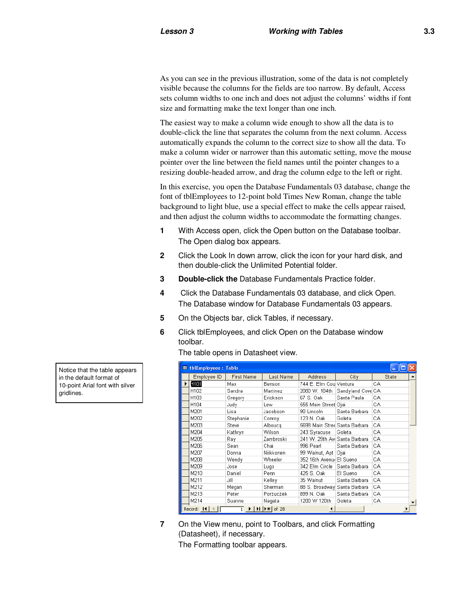As you can see in the previous illustration, some of the data is not completely visible because the columns for the fields are too narrow. By default, Access sets column widths to one inch and does not adjust the columns' widths if font size and formatting make the text longer than one inch.

The easiest way to make a column wide enough to show all the data is to double-click the line that separates the column from the next column. Access automatically expands the column to the correct size to show all the data. To make a column wider or narrower than this automatic setting, move the mouse pointer over the line between the field names until the pointer changes to a resizing double-headed arrow, and drag the column edge to the left or right.

In this exercise, you open the Database Fundamentals 03 database, change the font of tblEmployees to 12-point bold Times New Roman, change the table background to light blue, use a special effect to make the cells appear raised, and then adjust the column widths to accommodate the formatting changes.

- **1** With Access open, click the Open button on the Database toolbar. The Open dialog box appears.
- **2** Click the Look In down arrow, click the icon for your hard disk, and then double-click the Unlimited Potential folder.
- **3 Double-click the** Database Fundamentals Practice folder.
- **4** Click the Database Fundamentals 03 database, and click Open. The Database window for Database Fundamentals 03 appears.
- **5** On the Objects bar, click Tables, if necessary.
- **6** Click tblEmployees, and click Open on the Database window toolbar.

The table opens in Datasheet view.

| <b>Ⅲ tblEmployees: Table</b>                  |                   |                                                                                                                                                |                                |                                 |       |  |  |  |
|-----------------------------------------------|-------------------|------------------------------------------------------------------------------------------------------------------------------------------------|--------------------------------|---------------------------------|-------|--|--|--|
| Employee ID                                   | <b>First Name</b> | Last Name                                                                                                                                      | <b>Address</b>                 | City                            | State |  |  |  |
| H101                                          | Max               | Benson                                                                                                                                         | 744 E. Elm Coul Ventura        |                                 | CA    |  |  |  |
| H102                                          | Sandra            | Martinez                                                                                                                                       |                                | 2080 W. 104th Sandyland Cove CA |       |  |  |  |
| H103                                          | Gregory           | Erickson                                                                                                                                       | 67 S. Oak                      | Santa Paula                     | CA    |  |  |  |
| H104                                          | Judy              | Lew                                                                                                                                            | 555 Main Street Ojai           |                                 | CA    |  |  |  |
| M201                                          | Lisa              | Jacobson                                                                                                                                       | 90 Lincoln                     | Santa Barbara                   | CA    |  |  |  |
| M202                                          | Stephanie         | Conroy                                                                                                                                         | 123 N. Oak                     | Goleta                          | CA    |  |  |  |
| M203                                          | Steve             | Alboucq                                                                                                                                        | 5698 Main Stred Santa Barbara  |                                 | CA    |  |  |  |
| M204                                          | Kathryn           | Wilson                                                                                                                                         | 243 Syracuse   Goleta          |                                 | CA    |  |  |  |
| M205                                          | Ray.              | Zambroski                                                                                                                                      | 241 W. 29th Avi Santa Barbara  |                                 | CA    |  |  |  |
| M206                                          | Sean              | Chail                                                                                                                                          | 996 Pearl                      | Santa Barbara                   | CA    |  |  |  |
| M207                                          | Donna             | Niikkonen                                                                                                                                      | 99 Walnut, Apt   Ojai          |                                 | CA    |  |  |  |
| M208                                          | Wendy             | Wheeler                                                                                                                                        | 352 16th Avenul El Sueno       |                                 | CA    |  |  |  |
| M209                                          | Jose              | Lugo                                                                                                                                           | 342 Elm Circle   Santa Barbara |                                 | CA    |  |  |  |
| M210                                          | Daniel            | Penn                                                                                                                                           | 425 S. Oak                     | El Sueno                        | CA    |  |  |  |
| M211                                          | Jill              | Kelley                                                                                                                                         | 35 Walnut                      | Santa Barbara                   | CA    |  |  |  |
| M212                                          | Megan             | Sherman                                                                                                                                        | 88 S. Broadway Santa Barbara   |                                 | CA.   |  |  |  |
| M213                                          | Peter             | Porzuczek                                                                                                                                      | 899 N. Oak                     | Santa Barbara                   | CA    |  |  |  |
| M214                                          | Suanne            | Nagata                                                                                                                                         | 1200 W 120th                   | Goleta                          | CA.   |  |  |  |
| Record: $\vert 1 \vert \vert$ $\vert$ $\vert$ |                   | $\overline{1}$ $\blacktriangleright$ $\blacktriangleright$ $\blacktriangleright$ $\blacktriangleright$ $\blacktriangleright$ $\parallel$ of 28 |                                |                                 |       |  |  |  |

**7** On the View menu, point to Toolbars, and click Formatting (Datasheet), if necessary.

The Formatting toolbar appears.

Notice that the table appears in the default format of 10-point Arial font with silver gridlines.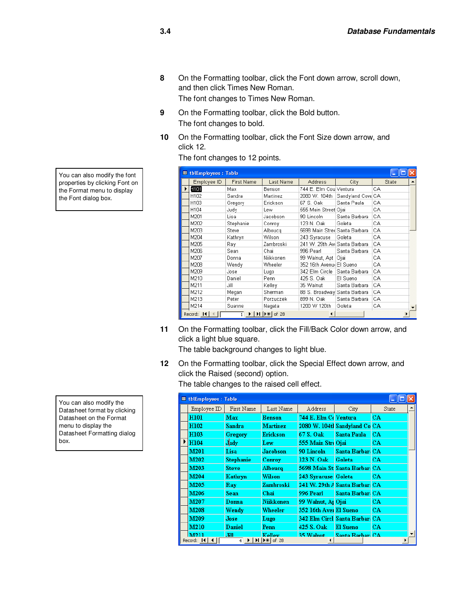**8** On the Formatting toolbar, click the Font down arrow, scroll down, and then click Times New Roman.

The font changes to Times New Roman.

- **9** On the Formatting toolbar, click the Bold button. The font changes to bold.
- **10** On the Formatting toolbar, click the Font Size down arrow, and click 12.

The font changes to 12 points.

|   | <b>■ tblEmployees: Table</b>           |                              |                                                              |                                |                   |       |  |
|---|----------------------------------------|------------------------------|--------------------------------------------------------------|--------------------------------|-------------------|-------|--|
|   | Employee ID                            | <b>First Name</b>            | Last Name                                                    | <b>Address</b>                 | City.             | State |  |
| ▶ | H101                                   | Max                          | Benson                                                       | 744 E. Elm Coul Ventura        |                   | CА    |  |
|   | H102                                   | Sandra                       | Martinez                                                     | 2080 W. 104th                  | Sandyland Cove CA |       |  |
|   | H103                                   | Gregory                      | Erickson                                                     | 67 S. Oak                      | Santa Paula       | CA    |  |
|   | H104                                   | Judy                         | Lew                                                          | 555 Main Street Ojai           |                   | CA    |  |
|   | M201                                   | Lisa                         | Jacobson                                                     | 90 Lincoln                     | Santa Barbara     | CA    |  |
|   | M202                                   | Stephanie                    | Conroy                                                       | 123 N. Oak                     | Goleta            | CA    |  |
|   | M203                                   | Steve                        | Albouca                                                      | 5698 Main Stred Santa Barbara  |                   | CА    |  |
|   | M204                                   | Kathryn                      | Wilson                                                       | 243 Syracuse                   | Goleta            | CА    |  |
|   | M205                                   | Ray.                         | Zambroski                                                    | 241 W. 29th Avil Santa Barbara |                   | CA    |  |
|   | M206                                   | Sean                         | Chail                                                        | 996 Pearl                      | Santa Barbara     | CA    |  |
|   | M207                                   | Donna                        | Niikkonen                                                    | 99 Walnut, Apt   Ojai          |                   | CА    |  |
|   | M208                                   | Wendy                        | Wheeler                                                      | 352 16th Avenul El Sueno       |                   | CА    |  |
|   | M209                                   | Jose                         | Lugo.                                                        | 342 Elm Circle   Santa Barbara |                   | CA    |  |
|   | M210                                   | Daniel                       | Penn                                                         | 425 S. Oak                     | El Sueno          | CА    |  |
|   | M211                                   | Jill                         | Kelley                                                       | 35 Walnut                      | Santa Barbara     | CA    |  |
|   | M212                                   | Megan                        | Sherman                                                      | 88 S. Broadway Santa Barbara   |                   | CA    |  |
|   | M213                                   | Peter                        | Porzuczek                                                    | 899 N. Oak                     | Santa Barbara     | CA    |  |
|   | M214                                   | Suanne                       | Nagata                                                       | 1200 W 120th                   | Goleta            | CА    |  |
|   | Record: $\vert 14 \vert \vert 4 \vert$ | $\blacktriangleright$ 1<br>1 | $\blacktriangleright$   $\blacktriangleright$ $\neq$   of 28 | $\blacktriangleleft$           |                   |       |  |

**11** On the Formatting toolbar, click the Fill/Back Color down arrow, and click a light blue square.

The table background changes to light blue.

**12** On the Formatting toolbar, click the Special Effect down arrow, and click the Raised (second) option.

The table changes to the raised cell effect.

|   | <b>Ⅲ tblEmployees: Table</b>              |                  |                                                                            |                        |                                |           |   |  |
|---|-------------------------------------------|------------------|----------------------------------------------------------------------------|------------------------|--------------------------------|-----------|---|--|
|   | $Emplovee \mathbb{D}$                     | First Name       | Last Name                                                                  | Address                | City                           | State     |   |  |
|   | <b>H101</b>                               | <b>Max</b>       | Benson                                                                     | 744 E. Elm Ct Ventura  |                                | CA        |   |  |
|   | H102                                      | <b>Sandra</b>    | <b>Martinez</b>                                                            |                        | 2080 W. 104tl Sandyland Co CA  |           |   |  |
|   | H103                                      | <b>Gregory</b>   | <b>Erickson</b>                                                            | 67 S. Oak              | <b>Santa Paula</b>             | CA.       |   |  |
| ▶ | H104                                      | Judy             | Lew                                                                        | 555 Main Stri Ojai     |                                | <b>CA</b> |   |  |
|   | M201                                      | Lisa             | <b>Jacobson</b>                                                            | 90 Lincoln             | Santa Barbar: CA               |           |   |  |
|   | M <sub>202</sub>                          | <b>Stephanie</b> | Conroy                                                                     | 123 N. Oak             | Goleta                         | СA        |   |  |
|   | M203                                      | <b>Steve</b>     | Alboucq                                                                    |                        | 5698 Main St Santa Barbar: CA  |           |   |  |
|   | M204                                      | Kathryn          | Wilson                                                                     | 243 Syracuse Goleta    |                                | СA        |   |  |
|   | M205                                      | Ray              | Zambroski                                                                  |                        | 241 W. 29th A Santa Barbar: CA |           |   |  |
|   | M206                                      | <b>Sean</b>      | Chai                                                                       | 996 Pearl              | Santa Barbar: CA               |           |   |  |
|   | M207                                      | Donna            | <b>Niikkonen</b>                                                           | 99 Walnut, Ar Ojai     |                                | CA.       |   |  |
|   | M208                                      | Wendy            | Wheeler                                                                    | 352 16th Aver El Sueno |                                | CА        |   |  |
|   | M209                                      | Jose             | Lugo                                                                       |                        | 342 Elm Circl Santa Barbar: CA |           |   |  |
|   | M210                                      | Daniel           | Penn.                                                                      | 425 S. Oak             | <b>El Sueno</b>                | CA.       |   |  |
|   | <b>M211</b><br>Record: $\vert 14 \vert 4$ | .FII<br>4        | <b>Kelley</b><br>$\blacktriangleright$ $\blacktriangleright$ $\Join$ of 28 | 35 Walnut              | Santa Rarhar: CA               |           | ▼ |  |

You can also modify the font properties by clicking Font on the Format menu to display the Font dialog box.

You can also modify the Datasheet format by clicking Datasheet on the Format menu to display the Datasheet Formatting dialog box.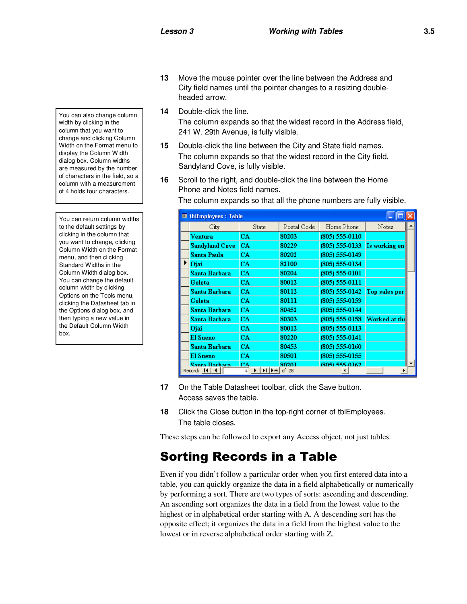You can also change column width by clicking in the column that you want to change and clicking Column Width on the Format menu to display the Column Width dialog box. Column widths are measured by the number of characters in the field, so a column with a measurement of 4 holds four characters.

You can return column widths to the default settings by clicking in the column that you want to change, clicking Column Width on the Format menu, and then clicking Standard Widths in the Column Width dialog box. You can change the default column width by clicking Options on the Tools menu, clicking the Datasheet tab in the Options dialog box, and then typing a new value in the Default Column Width box.

- **13** Move the mouse pointer over the line between the Address and City field names until the pointer changes to a resizing doubleheaded arrow.
- **14** Double-click the line. The column expands so that the widest record in the Address field, 241 W. 29th Avenue, is fully visible.
- **15** Double-click the line between the City and State field names. The column expands so that the widest record in the City field, Sandyland Cove, is fully visible.
- **16** Scroll to the right, and double-click the line between the Home Phone and Notes field names.

The column expands so that all the phone numbers are fully visible.

| <b>EL thlEmployees: Table</b> |                                                                           |             |                    |               |  |
|-------------------------------|---------------------------------------------------------------------------|-------------|--------------------|---------------|--|
| City                          | State                                                                     | Postal Code | Home Phone         | Notes         |  |
| Ventura                       | CA.                                                                       | 80203       | $(805) 555 - 0110$ |               |  |
| Sandyland Cove                | CA.                                                                       | 80229       | $(805)$ 555-0133   | Is working on |  |
| Santa Paula                   | CA.                                                                       | 80202       | (805) 555-0149     |               |  |
| Ojai                          | CA.                                                                       | 82100       | (805) 555-0134     |               |  |
| Santa Barbara                 | <b>CA</b>                                                                 | 80204       | $(805) 555-0101$   |               |  |
| Goleta                        | CA.                                                                       | 80012       | (805) 555-0111     |               |  |
| Santa Barbara                 | CA.                                                                       | 80112       | $(805)$ 555-0142   | Top sales per |  |
| <b>Goleta</b>                 | CA.                                                                       | 80111       | $(805) 555 - 0159$ |               |  |
| Santa Barbara                 | CA.                                                                       | 80452       | (805) 555-0144     |               |  |
| Santa Barbara                 | CA.                                                                       | 80303       | $(805)$ 555-0158   | Worked at the |  |
| Ojai                          | CA.                                                                       | 80012       | $(805) 555 - 0113$ |               |  |
| El Sueno                      | CA.                                                                       | 80220       | $(805) 555 - 0141$ |               |  |
| Santa Barbara                 | CA.                                                                       | 80453       | $(805) 555 - 0160$ |               |  |
| El Sueno                      | CA.                                                                       | 80501       | $(805) 555 - 0155$ |               |  |
| <b>Santa Rarhara</b>          | CΔ                                                                        | 80201       | (805) 555-0162     |               |  |
| Record: 14                    | $\blacktriangleright$ l $\blacktriangleright$ $\star$ l<br>$\overline{4}$ | of 28       |                    |               |  |

- **17** On the Table Datasheet toolbar, click the Save button. Access saves the table.
- **18** Click the Close button in the top-right corner of tblEmployees. The table closes.

These steps can be followed to export any Access object, not just tables.

## Sorting Records in a Table

Even if you didn't follow a particular order when you first entered data into a table, you can quickly organize the data in a field alphabetically or numerically by performing a sort. There are two types of sorts: ascending and descending. An ascending sort organizes the data in a field from the lowest value to the highest or in alphabetical order starting with A. A descending sort has the opposite effect; it organizes the data in a field from the highest value to the lowest or in reverse alphabetical order starting with Z.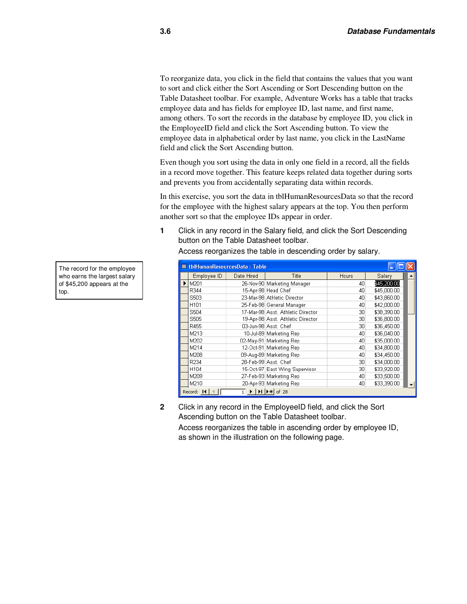To reorganize data, you click in the field that contains the values that you want to sort and click either the Sort Ascending or Sort Descending button on the Table Datasheet toolbar. For example, Adventure Works has a table that tracks employee data and has fields for employee ID, last name, and first name, among others. To sort the records in the database by employee ID, you click in the EmployeeID field and click the Sort Ascending button. To view the employee data in alphabetical order by last name, you click in the LastName field and click the Sort Ascending button.

Even though you sort using the data in only one field in a record, all the fields in a record move together. This feature keeps related data together during sorts and prevents you from accidentally separating data within records.

In this exercise, you sort the data in tblHumanResourcesData so that the record for the employee with the highest salary appears at the top. You then perform another sort so that the employee IDs appear in order.

**1** Click in any record in the Salary field, and click the Sort Descending button on the Table Datasheet toolbar.

| <b>■ tbHumanResourcesData: Table</b> |                                                                                                                                                                          |                                   |       |             |  |  |
|--------------------------------------|--------------------------------------------------------------------------------------------------------------------------------------------------------------------------|-----------------------------------|-------|-------------|--|--|
| Employee ID                          | Date Hired                                                                                                                                                               | <b>Title</b>                      | Hours | Salary      |  |  |
| M201                                 |                                                                                                                                                                          | 26-Nov-90 Marketing Manager       | 40    | \$45,200.00 |  |  |
| R344                                 |                                                                                                                                                                          | 15-Apr-98 Head Chef               | 40    | \$45,000.00 |  |  |
| S503                                 |                                                                                                                                                                          | 23-Mar-98 Athletic Director       | 40    | \$43,860.00 |  |  |
| H <sub>101</sub>                     |                                                                                                                                                                          | 25-Feb-98 General Manager         | 40    | \$42,000.00 |  |  |
| S504                                 |                                                                                                                                                                          | 17-Mar-98 Asst. Athletic Director | 30    | \$38,390.00 |  |  |
| S505                                 |                                                                                                                                                                          | 19-Apr-98 Asst. Athletic Director | 30    | \$36,800.00 |  |  |
| R455                                 |                                                                                                                                                                          | 03-Jun-98 Asst, Chef              | 30    | \$36,450.00 |  |  |
| M213                                 |                                                                                                                                                                          | 10-Jul-89 Marketing Rep           | 40    | \$36,040.00 |  |  |
| M202                                 |                                                                                                                                                                          | 02-May-91 Marketing Rep           | 40    | \$35,000.00 |  |  |
| M214                                 |                                                                                                                                                                          | 12-Oct-91 Marketing Rep           | 40    | \$34,800.00 |  |  |
| M208                                 |                                                                                                                                                                          | 09-Aug-89 Marketing Rep           | 40    | \$34,450.00 |  |  |
| R234                                 |                                                                                                                                                                          | 28-Feb-99 Asst. Chef              | 30    | \$34,000.00 |  |  |
| H104                                 |                                                                                                                                                                          | 15-Oct-97 East Wing Supervisor    | 30    | \$33,920.00 |  |  |
| M209                                 |                                                                                                                                                                          | 27-Feb-93 Marketing Rep           | 40    | \$33,500.00 |  |  |
| M210                                 |                                                                                                                                                                          | 20-Apr-93 Marketing Rep           | 40    | \$33,390.00 |  |  |
| Record: 14                           | $\overline{1}$ $\blacktriangleright$ $\blacktriangleright$ $\blacktriangleright$ $\blacktriangleright$ $\blacktriangleright$ $\blacktriangleright$ $\triangleleft$ of 28 |                                   |       |             |  |  |

Access reorganizes the table in descending order by salary.

**2** Click in any record in the EmployeeID field, and click the Sort Ascending button on the Table Datasheet toolbar.

Access reorganizes the table in ascending order by employee ID, as shown in the illustration on the following page.

The record for the employee who earns the largest salary of \$45,200 appears at the top.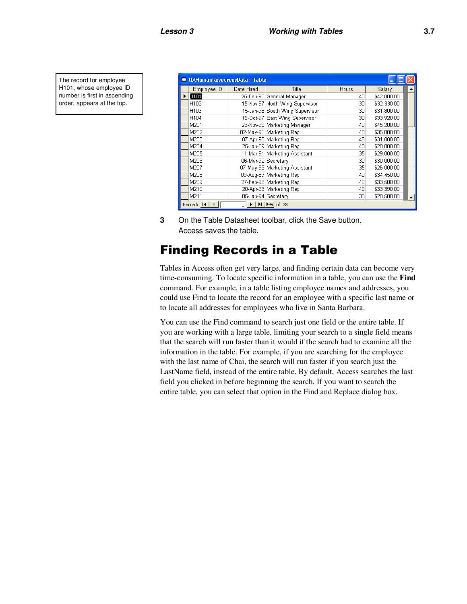The record for employee H101, whose employee ID number is first in ascending order, appears at the top.

|                 | <b>■ tblHumanResourcesData: Table</b>                                                                                                                                       |                                 |              |             |  |
|-----------------|-----------------------------------------------------------------------------------------------------------------------------------------------------------------------------|---------------------------------|--------------|-------------|--|
| Employee ID     | Date Hired                                                                                                                                                                  | Title                           | <b>Hours</b> | Salary      |  |
| H <sub>01</sub> |                                                                                                                                                                             | 25-Feb-98 General Manager       | 40           | \$42,000.00 |  |
| H102            |                                                                                                                                                                             | 15-Nov-97 North Wing Supervisor | 30           | \$32,330.00 |  |
| H103            |                                                                                                                                                                             | 15-Jan-98 South Wing Supervisor | 30           | \$31,800.00 |  |
| H104            |                                                                                                                                                                             | 15-Oct-97 East Wing Supervisor  | 30           | \$33,920.00 |  |
| M201            |                                                                                                                                                                             | 26-Nov-90 Marketing Manager     | 40           | \$45,200.00 |  |
| M202            |                                                                                                                                                                             | 02-May-91 Marketing Rep         | 40           | \$35,000.00 |  |
| M203            |                                                                                                                                                                             | 07-Apr-90 Marketing Rep         | 40           | \$31,800.00 |  |
| M204            |                                                                                                                                                                             | 25-Jan-89 Marketing Rep         | 40           | \$28,000.00 |  |
| M205            |                                                                                                                                                                             | 11-Mar-91 Marketing Assistant   | 35           | \$29,000.00 |  |
| M206            | 06-Mar-92 Secretary                                                                                                                                                         |                                 | 30           | \$30,000.00 |  |
| M207            |                                                                                                                                                                             | 07-May-93 Marketing Assistant   | 35           | \$26,000.00 |  |
| M208            |                                                                                                                                                                             | 09-Aug-89 Marketing Rep         | 40           | \$34,450.00 |  |
| M209            |                                                                                                                                                                             | 27-Feb-93 Marketing Rep         | 40           | \$33,500.00 |  |
| M210            |                                                                                                                                                                             | 20-Apr-93 Marketing Rep         | 40           | \$33,390.00 |  |
| M211            | 05-Jan-94 Secretary                                                                                                                                                         |                                 | 30           | \$28,500.00 |  |
| Record: 14      | $\overline{1}$ $\blacktriangleright$ $\blacktriangleright$ $\blacktriangleright$ $\blacktriangleright$ $\uparrow$ $\uparrow$ $\uparrow$ $\uparrow$ $\uparrow$ $\uparrow$ 28 |                                 |              |             |  |

**3** On the Table Datasheet toolbar, click the Save button. Access saves the table.

## Finding Records in a Table

Tables in Access often get very large, and finding certain data can become very time-consuming. To locate specific information in a table, you can use the **Find** command. For example, in a table listing employee names and addresses, you could use Find to locate the record for an employee with a specific last name or to locate all addresses for employees who live in Santa Barbara.

You can use the Find command to search just one field or the entire table. If you are working with a large table, limiting your search to a single field means that the search will run faster than it would if the search had to examine all the information in the table. For example, if you are searching for the employee with the last name of Chai, the search will run faster if you search just the LastName field, instead of the entire table. By default, Access searches the last field you clicked in before beginning the search. If you want to search the entire table, you can select that option in the Find and Replace dialog box.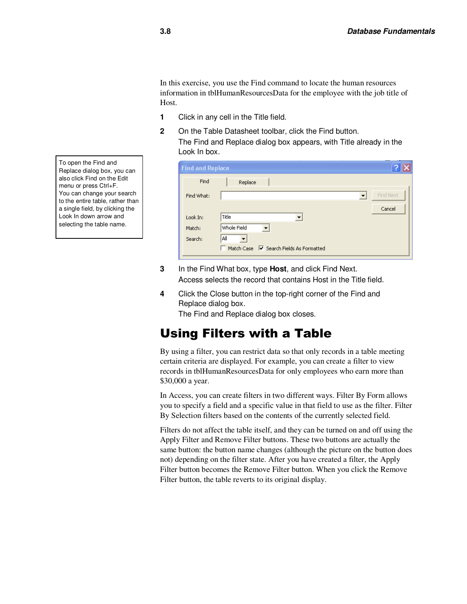In this exercise, you use the Find command to locate the human resources information in tblHumanResourcesData for the employee with the job title of Host.

- **1** Click in any cell in the Title field.
- **2** On the Table Datasheet toolbar, click the Find button. The Find and Replace dialog box appears, with Title already in the Look In box.

| <b>Find and Replace</b> |                                         |           |  |  |  |  |  |
|-------------------------|-----------------------------------------|-----------|--|--|--|--|--|
| Find                    | Replace                                 |           |  |  |  |  |  |
| Find What:              | $\overline{\phantom{a}}$                | Find Next |  |  |  |  |  |
|                         |                                         | Cancel    |  |  |  |  |  |
| Look In:                | Title<br>▼                              |           |  |  |  |  |  |
| Match:                  | Whole Field                             |           |  |  |  |  |  |
| Search:                 | All                                     |           |  |  |  |  |  |
|                         | Match Case M Search Fields As Formatted |           |  |  |  |  |  |
|                         |                                         |           |  |  |  |  |  |

- **3** In the Find What box, type **Host**, and click Find Next. Access selects the record that contains Host in the Title field.
- **4** Click the Close button in the top-right corner of the Find and Replace dialog box.

The Find and Replace dialog box closes.

## Using Filters with a Table

By using a filter, you can restrict data so that only records in a table meeting certain criteria are displayed. For example, you can create a filter to view records in tblHumanResourcesData for only employees who earn more than \$30,000 a year.

In Access, you can create filters in two different ways. Filter By Form allows you to specify a field and a specific value in that field to use as the filter. Filter By Selection filters based on the contents of the currently selected field.

Filters do not affect the table itself, and they can be turned on and off using the Apply Filter and Remove Filter buttons. These two buttons are actually the same button: the button name changes (although the picture on the button does not) depending on the filter state. After you have created a filter, the Apply Filter button becomes the Remove Filter button. When you click the Remove Filter button, the table reverts to its original display.

To open the Find and Replace dialog box, you can also click Find on the Edit menu or press Ctrl+F. You can change your search to the entire table, rather than a single field, by clicking the Look In down arrow and selecting the table name.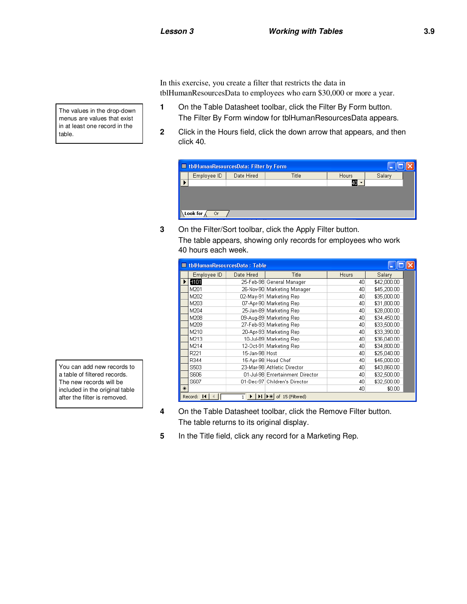In this exercise, you create a filter that restricts the data in tblHumanResourcesData to employees who earn \$30,000 or more a year.

- **1** On the Table Datasheet toolbar, click the Filter By Form button. The Filter By Form window for tblHumanResourcesData appears.
- **2** Click in the Hours field, click the down arrow that appears, and then click 40.

| ■ tblHumanResourcesData: Filter by Form |                |            |              |              |        |  |  |  |
|-----------------------------------------|----------------|------------|--------------|--------------|--------|--|--|--|
|                                         | Employee ID    | Date Hired | <b>Title</b> | <b>Hours</b> | Salary |  |  |  |
|                                         |                |            |              |              |        |  |  |  |
|                                         | Look for<br>0r |            |              |              |        |  |  |  |

**3** On the Filter/Sort toolbar, click the Apply Filter button. The table appears, showing only records for employees who work 40 hours each week.

|     |                  | <b>■ tblHumanResourcesData: Table</b> |                                                                    |       |             |
|-----|------------------|---------------------------------------|--------------------------------------------------------------------|-------|-------------|
|     | Employee ID      | Date Hired                            | Title                                                              | Hours | Salary      |
|     | H <sub>101</sub> |                                       | 25-Feb-98 General Manager                                          | 40    | \$42,000.00 |
|     | M201             |                                       | 26-Nov-90 Marketing Manager                                        | 40    | \$45,200.00 |
|     | M202             |                                       | 02-May-91 Marketing Rep                                            | 40    | \$35,000.00 |
|     | M203             |                                       | 07-Apr-90 Marketing Rep                                            | 40    | \$31,800.00 |
|     | M204             |                                       | 25-Jan-89 Marketing Rep                                            | 40    | \$28,000.00 |
|     | M208             |                                       | 09-Aug-89 Marketing Rep                                            | 40    | \$34,450.00 |
|     | M209             |                                       | 27-Feb-93 Marketing Rep                                            | 40    | \$33,500.00 |
|     | M210             |                                       | 20-Apr-93 Marketing Rep                                            | 40    | \$33,390.00 |
|     | M213             |                                       | 10-Jul-89 Marketing Rep                                            | 40    | \$36,040.00 |
|     | M214             |                                       | 12-Oct-91 Marketing Rep                                            | 40    | \$34,800.00 |
|     | R221             | 15-Jan-98 Host                        |                                                                    | 40    | \$25,040.00 |
|     | R344             |                                       | 15-Apr-98 Head Chef                                                | 40    | \$45,000.00 |
|     | S503             |                                       | 23-Mar-98 Athletic Director                                        | 40    | \$43,860.00 |
|     | S606             |                                       | 01-Jul-98 Entertainment Director                                   | 40    | \$32,500.00 |
|     | S607             |                                       | 01-Dec-97 Children's Director                                      | 40    | \$32,500.00 |
| $*$ |                  |                                       |                                                                    | 40    | \$0.00      |
|     | Record: 14       |                                       | $\blacktriangleright$   $\blacktriangleright$ *   of 15 (Filtered) |       |             |

- **4** On the Table Datasheet toolbar, click the Remove Filter button. The table returns to its original display.
- **5** In the Title field, click any record for a Marketing Rep.

The values in the drop-down menus are values that exist in at least one record in the table.

You can add new records to a table of filtered records. The new records will be included in the original table after the filter is removed.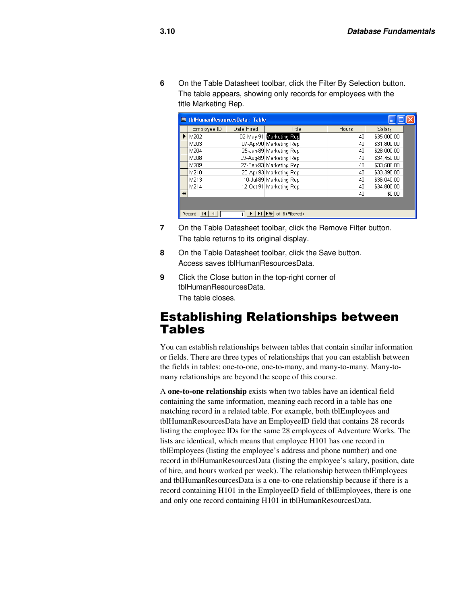**6** On the Table Datasheet toolbar, click the Filter By Selection button. The table appears, showing only records for employees with the title Marketing Rep.

|        | <b>■ tbHumanResourcesData: Table</b> |            |                         |              |             |  |  |
|--------|--------------------------------------|------------|-------------------------|--------------|-------------|--|--|
|        | Employee ID                          | Date Hired | Title                   | <b>Hours</b> | Salary      |  |  |
|        | l M202                               |            | 02-May-91 Marketing Rep | 40           | \$35,000.00 |  |  |
|        | M203                                 |            | 07-Apr-90 Marketing Rep | 40           | \$31,800.00 |  |  |
|        | M204                                 |            | 25-Jan-89 Marketing Rep | 40           | \$28,000.00 |  |  |
|        | M208                                 |            | 09-Aug-89 Marketing Rep | 40           | \$34,450.00 |  |  |
|        | M209                                 |            | 27-Feb-93 Marketing Rep | 40           | \$33,500.00 |  |  |
|        | M210                                 |            | 20-Apr-93 Marketing Rep | 40           | \$33,390.00 |  |  |
|        | M213                                 |            | 10-Jul-89 Marketing Rep | 40           | \$36,040.00 |  |  |
|        | M214                                 |            | 12-Oct-91 Marketing Rep | 40           | \$34,800.00 |  |  |
| $\ast$ |                                      |            |                         | 40           | \$0.00      |  |  |
|        |                                      |            |                         |              |             |  |  |
|        | Record: 14                           |            | of 8 (Filtered)         |              |             |  |  |

- **7** On the Table Datasheet toolbar, click the Remove Filter button. The table returns to its original display.
- **8** On the Table Datasheet toolbar, click the Save button. Access saves tblHumanResourcesData.
- **9** Click the Close button in the top-right corner of tblHumanResourcesData. The table closes.

#### Establishing Relationships between **Tables**

You can establish relationships between tables that contain similar information or fields. There are three types of relationships that you can establish between the fields in tables: one-to-one, one-to-many, and many-to-many. Many-tomany relationships are beyond the scope of this course.

A **one-to-one relationship** exists when two tables have an identical field containing the same information, meaning each record in a table has one matching record in a related table. For example, both tblEmployees and tblHumanResourcesData have an EmployeeID field that contains 28 records listing the employee IDs for the same 28 employees of Adventure Works. The lists are identical, which means that employee H101 has one record in tblEmployees (listing the employee's address and phone number) and one record in tblHumanResourcesData (listing the employee's salary, position, date of hire, and hours worked per week). The relationship between tblEmployees and tblHumanResourcesData is a one-to-one relationship because if there is a record containing H101 in the EmployeeID field of tblEmployees, there is one and only one record containing H101 in tblHumanResourcesData.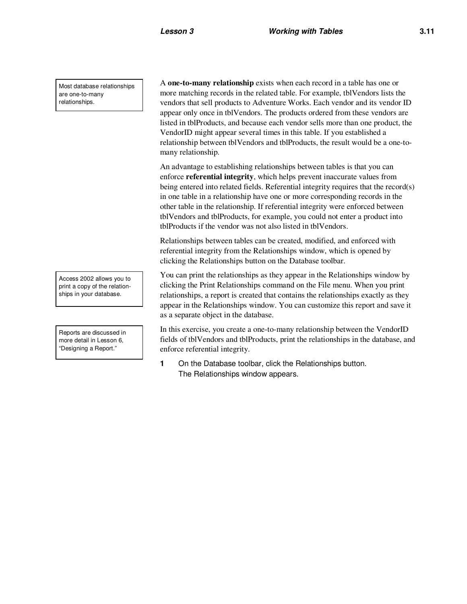Most database relationships are one-to-many relationships.

A **one-to-many relationship** exists when each record in a table has one or more matching records in the related table. For example, tblVendors lists the vendors that sell products to Adventure Works. Each vendor and its vendor ID appear only once in tblVendors. The products ordered from these vendors are listed in tblProducts, and because each vendor sells more than one product, the VendorID might appear several times in this table. If you established a relationship between tblVendors and tblProducts, the result would be a one-tomany relationship.

An advantage to establishing relationships between tables is that you can enforce **referential integrity**, which helps prevent inaccurate values from being entered into related fields. Referential integrity requires that the record(s) in one table in a relationship have one or more corresponding records in the other table in the relationship. If referential integrity were enforced between tblVendors and tblProducts, for example, you could not enter a product into tblProducts if the vendor was not also listed in tblVendors.

Relationships between tables can be created, modified, and enforced with referential integrity from the Relationships window, which is opened by clicking the Relationships button on the Database toolbar.

You can print the relationships as they appear in the Relationships window by clicking the Print Relationships command on the File menu. When you print relationships, a report is created that contains the relationships exactly as they appear in the Relationships window. You can customize this report and save it as a separate object in the database.

In this exercise, you create a one-to-many relationship between the VendorID fields of tblVendors and tblProducts, print the relationships in the database, and enforce referential integrity.

**1** On the Database toolbar, click the Relationships button. The Relationships window appears.

Access 2002 allows you to print a copy of the relationships in your database.

Reports are discussed in more detail in Lesson 6, "Designing a Report."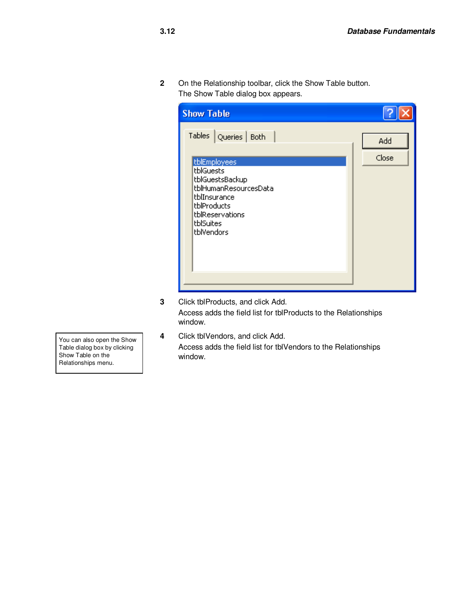**2** On the Relationship toolbar, click the Show Table button. The Show Table dialog box appears.

| <b>Show Table</b>                                                                                                                                                                            |              |
|----------------------------------------------------------------------------------------------------------------------------------------------------------------------------------------------|--------------|
| Tables<br>Queries   Both<br>tblEmployees<br><b>tblGuests</b><br>tblGuestsBackup<br>tblHumanResourcesData<br>tblInsurance<br>tblProducts<br>tblReservations<br><b>tblSuites</b><br>tblVendors | Add<br>Close |

- **3** Click tblProducts, and click Add. Access adds the field list for tblProducts to the Relationships window.
- **4** Click tblVendors, and click Add. Access adds the field list for tblVendors to the Relationships window.

You can also open the Show Table dialog box by clicking Show Table on the Relationships menu.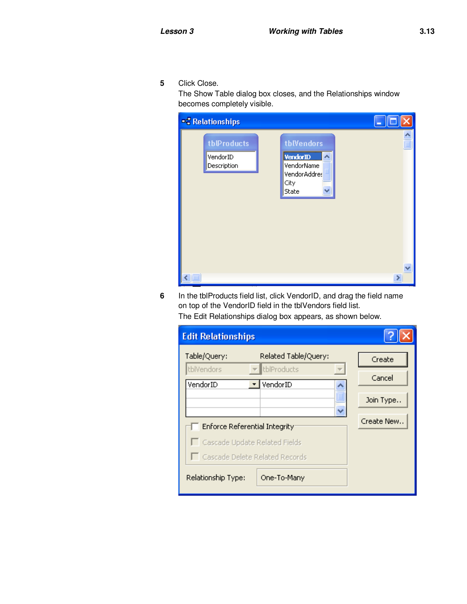**5** Click Close.

The Show Table dialog box closes, and the Relationships window becomes completely visible.

| - Relationships                        |                                                                              |                    |
|----------------------------------------|------------------------------------------------------------------------------|--------------------|
| tblProducts<br>VendorID<br>Description | tblVendors<br><b>VendorID</b><br>VendorName<br>VendorAddres<br>City<br>State | $\frac{1}{\equiv}$ |
|                                        |                                                                              | ⋗                  |

**6** In the tblProducts field list, click VendorID, and drag the field name on top of the VendorID field in the tblVendors field list.

|  |  |  |  | The Edit Relationships dialog box appears, as shown below. |
|--|--|--|--|------------------------------------------------------------|
|--|--|--|--|------------------------------------------------------------|

| <b>Edit Relationships</b>                                                                 |                               |
|-------------------------------------------------------------------------------------------|-------------------------------|
| Table/Query:<br>Related Table/Query:<br>tblProducts<br>tblVendors<br>VendorID<br>VendorID | Create<br>Cancel<br>Join Type |
| Enforce Referential Integrity                                                             | Create New                    |
| □ Cascade Update Related Fields<br>Cascade Delete Related Records                         |                               |
| Relationship Type:<br>One-To-Many                                                         |                               |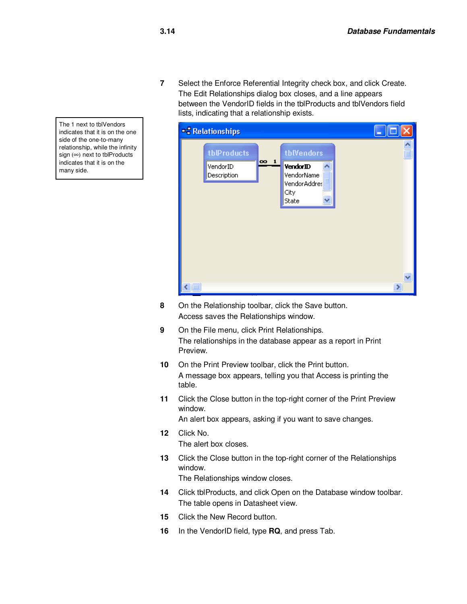**7** Select the Enforce Referential Integrity check box, and click Create. The Edit Relationships dialog box closes, and a line appears between the VendorID fields in the tblProducts and tblVendors field lists, indicating that a relationship exists.



- **8** On the Relationship toolbar, click the Save button. Access saves the Relationships window.
- **9** On the File menu, click Print Relationships. The relationships in the database appear as a report in Print Preview.
- **10** On the Print Preview toolbar, click the Print button. A message box appears, telling you that Access is printing the table.
- **11** Click the Close button in the top-right corner of the Print Preview window.

An alert box appears, asking if you want to save changes.

- **12** Click No. The alert box closes.
- **13** Click the Close button in the top-right corner of the Relationships window.

The Relationships window closes.

- **14** Click tblProducts, and click Open on the Database window toolbar. The table opens in Datasheet view.
- **15** Click the New Record button.
- **16** In the VendorID field, type **RQ**, and press Tab.

The 1 next to tblVendors indicates that it is on the one side of the one-to-many relationship, while the infinity sign (∞) next to tblProducts indicates that it is on the many side.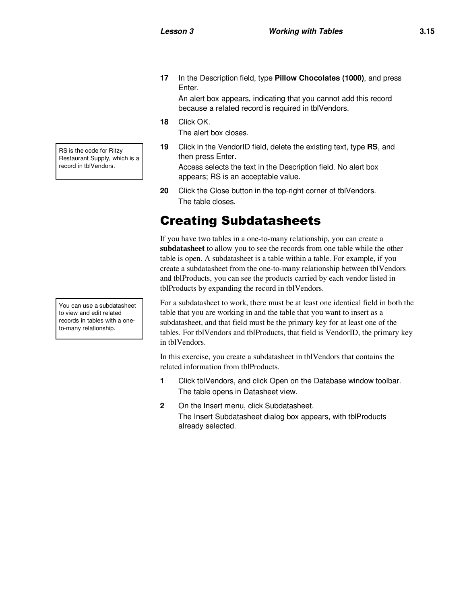**17** In the Description field, type **Pillow Chocolates (1000)**, and press Enter.

An alert box appears, indicating that you cannot add this record because a related record is required in tblVendors.

**18** Click OK.

The alert box closes.

**19** Click in the VendorID field, delete the existing text, type **RS**, and then press Enter.

Access selects the text in the Description field. No alert box appears; RS is an acceptable value.

**20** Click the Close button in the top-right corner of tblVendors. The table closes.

## Creating Subdatasheets

If you have two tables in a one-to-many relationship, you can create a **subdatasheet** to allow you to see the records from one table while the other table is open. A subdatasheet is a table within a table. For example, if you create a subdatasheet from the one-to-many relationship between tblVendors and tblProducts, you can see the products carried by each vendor listed in tblProducts by expanding the record in tblVendors.

For a subdatasheet to work, there must be at least one identical field in both the table that you are working in and the table that you want to insert as a subdatasheet, and that field must be the primary key for at least one of the tables. For tblVendors and tblProducts, that field is VendorID, the primary key in tblVendors.

In this exercise, you create a subdatasheet in tblVendors that contains the related information from tblProducts.

- **1** Click tblVendors, and click Open on the Database window toolbar. The table opens in Datasheet view.
- **2** On the Insert menu, click Subdatasheet. The Insert Subdatasheet dialog box appears, with tblProducts already selected.

RS is the code for Ritzy Restaurant Supply, which is a record in tblVendors.

You can use a subdatasheet to view and edit related records in tables with a oneto-many relationship.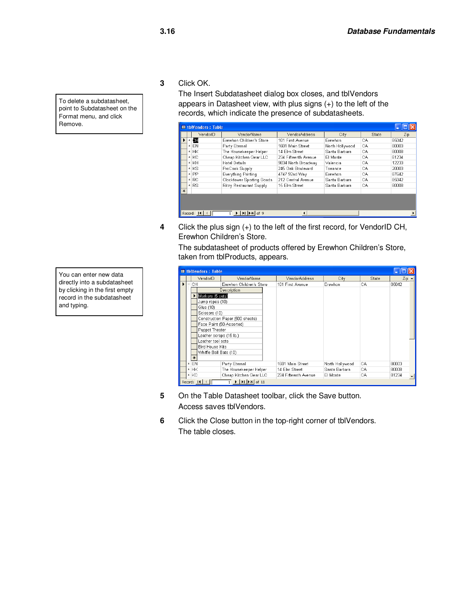**3** Click OK.

The Insert Subdatasheet dialog box closes, and tblVendors appears in Datasheet view, with plus signs (+) to the left of the records, which indicate the presence of subdatasheets.

|     | <b>EL tblVendors: Table</b>                                                                                                                                                             |          |                            |                      |                 |       |       |  |  |
|-----|-----------------------------------------------------------------------------------------------------------------------------------------------------------------------------------------|----------|----------------------------|----------------------|-----------------|-------|-------|--|--|
|     |                                                                                                                                                                                         | VendorID | VendorName                 | VendorAddress        | City            | State | Zip   |  |  |
|     | $+$                                                                                                                                                                                     | Œ        | Erewhon Children's Store   | 101 First Avenue     | Erewhon         | СA    | 85042 |  |  |
|     | $+$                                                                                                                                                                                     | EN       | Party Eternal              | 1601 Main Street     | North Hollywood | СA    | 80003 |  |  |
|     |                                                                                                                                                                                         | $+$ HK   | The Housekeeper Helper     | 14 Elm Street        | Santa Barbara   | CА    | 80008 |  |  |
|     |                                                                                                                                                                                         | $+$ KC   | Cheap Kitchen Gear LLC     | 234 Fifteenth Avenue | El Monte        | CА    | 81234 |  |  |
|     |                                                                                                                                                                                         | $+$ KH   | <b>Hotel Details</b>       | 9834 North Broadway  | Valencia        | CA    | 12233 |  |  |
|     |                                                                                                                                                                                         | $+$ KS   | ProCook Supply             | 245 Oak Boulevard    | Torrance        | СA    | 20003 |  |  |
|     |                                                                                                                                                                                         | $+$ PP   | <b>Everything Printing</b> | 4747 92nd Way        | Erewhon         | CА    | 87642 |  |  |
|     |                                                                                                                                                                                         | $+ RC$   | Clocktower Sporting Goods  | 212 Central Avenue   | Santa Barbara   | СA    | 85042 |  |  |
|     |                                                                                                                                                                                         | $+$ RS   | Ritzy Restaurant Supply    | 15 Elm Street        | Santa Barbara   | CA    | 80008 |  |  |
| $*$ |                                                                                                                                                                                         |          |                            |                      |                 |       |       |  |  |
|     | $\blacktriangleright$ $\blacktriangleright$ $\blacktriangleright$ $\blacktriangleright$ $\blacktriangleright$ $\dashv$ $\dashv$ $\dashv$ $\dashv$<br>Record: 14<br>$\blacktriangleleft$ |          |                            |                      |                 |       |       |  |  |

**4** Click the plus sign (+) to the left of the first record, for VendorID CH, Erewhon Children's Store.

The subdatasheet of products offered by Erewhon Children's Store, taken from tblProducts, appears.

|   | <b>Ⅲ tblVendors: Table</b> |            |                         |                                                                                                                                                                   |                      |                 |       |                                  |
|---|----------------------------|------------|-------------------------|-------------------------------------------------------------------------------------------------------------------------------------------------------------------|----------------------|-----------------|-------|----------------------------------|
|   |                            |            | VendorID                | VendorName                                                                                                                                                        | VendorAddress        | City            | State | $\mathbb{Z}$ ip $\blacktriangle$ |
| ١ | $\overline{a}$             | СH         |                         | Erewhon Children's Store                                                                                                                                          | 101 First Avenue     | Erewhon         | CA    | 85042                            |
|   |                            |            |                         | Description                                                                                                                                                       |                      |                 |       |                                  |
|   |                            |            | Markers (5 sets)        |                                                                                                                                                                   |                      |                 |       |                                  |
|   |                            |            | Jump ropes (10)         |                                                                                                                                                                   |                      |                 |       |                                  |
|   |                            |            | Glue (10)               |                                                                                                                                                                   |                      |                 |       |                                  |
|   |                            |            | Scissors (10)           |                                                                                                                                                                   |                      |                 |       |                                  |
|   |                            |            |                         | Construction Paper (500 sheets)                                                                                                                                   |                      |                 |       |                                  |
|   |                            |            |                         | Face Paint (50-Assorted)                                                                                                                                          |                      |                 |       |                                  |
|   |                            |            | Puppet Theater          |                                                                                                                                                                   |                      |                 |       |                                  |
|   |                            |            | Leather scraps (15 lb.) |                                                                                                                                                                   |                      |                 |       |                                  |
|   |                            |            | Leather tool sets       |                                                                                                                                                                   |                      |                 |       |                                  |
|   |                            |            | Bird House Kits         |                                                                                                                                                                   |                      |                 |       |                                  |
|   |                            |            | Whiffle Ball Bats (10)  |                                                                                                                                                                   |                      |                 |       |                                  |
|   |                            | $*$        |                         |                                                                                                                                                                   |                      |                 |       |                                  |
|   |                            | EN         |                         | Party Eternal                                                                                                                                                     | 1601 Main Street     | North Hollywood | CA    | 80003                            |
|   |                            | $+$ HK     |                         | The Housekeeper Helper                                                                                                                                            | 14 Elm Street        | Santa Barbara   | СA    | 80008                            |
|   |                            | $+$ KC     |                         | Cheap Kitchen Gear LLC                                                                                                                                            | 234 Fifteenth Avenue | El Monte        | CA    | 81234                            |
|   |                            | Record: 14 |                         | $\overline{1}$ $\blacktriangleright$ $\blacktriangleright$ $\blacktriangleright$ $\blacktriangleright$ $\blacktriangleright$ $\blacktriangleright$ $\dashv$ of 11 |                      |                 |       |                                  |

- **5** On the Table Datasheet toolbar, click the Save button. Access saves tblVendors.
- **6** Click the Close button in the top-right corner of tblVendors. The table closes.

To delete a subdatasheet, point to Subdatasheet on the Format menu, and click Remove.

You can enter new data directly into a subdatasheet by clicking in the first empty record in the subdatasheet and typing.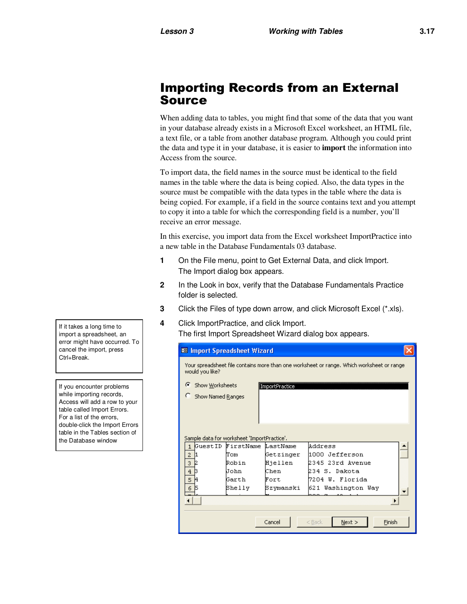## Importing Records from an External Source

When adding data to tables, you might find that some of the data that you want in your database already exists in a Microsoft Excel worksheet, an HTML file, a text file, or a table from another database program. Although you could print the data and type it in your database, it is easier to **import** the information into Access from the source.

To import data, the field names in the source must be identical to the field names in the table where the data is being copied. Also, the data types in the source must be compatible with the data types in the table where the data is being copied. For example, if a field in the source contains text and you attempt to copy it into a table for which the corresponding field is a number, you'll receive an error message.

In this exercise, you import data from the Excel worksheet ImportPractice into a new table in the Database Fundamentals 03 database.

- **1** On the File menu, point to Get External Data, and click Import. The Import dialog box appears.
- **2** In the Look in box, verify that the Database Fundamentals Practice folder is selected.
- **3** Click the Files of type down arrow, and click Microsoft Excel (\*.xls).
- **4** Click ImportPractice, and click Import. The first Import Spreadsheet Wizard dialog box appears.

| <b>B</b> Import Spreadsheet Wizard                                                                           |                                             |           |                            |  |  |  |  |
|--------------------------------------------------------------------------------------------------------------|---------------------------------------------|-----------|----------------------------|--|--|--|--|
| Your spreadsheet file contains more than one worksheet or range. Which worksheet or range<br>would you like? |                                             |           |                            |  |  |  |  |
| G                                                                                                            | Show Worksheets<br>ImportPractice           |           |                            |  |  |  |  |
| Show Named Ranges                                                                                            |                                             |           |                            |  |  |  |  |
|                                                                                                              | Sample data for worksheet 'ImportPractice', |           |                            |  |  |  |  |
|                                                                                                              | GuestID FirstName LastName                  |           | Wddress                    |  |  |  |  |
| 2                                                                                                            | lTom.                                       | Getzinger | 1000 Jefferson             |  |  |  |  |
| 3                                                                                                            | Robin                                       | Hjellen   | 2345 23rd Avenue           |  |  |  |  |
| 4                                                                                                            | Uohn                                        | Chen      | 234 S. Dakota              |  |  |  |  |
| 5                                                                                                            | Garth                                       | Fort      | 7204 W. Florida            |  |  |  |  |
| 6                                                                                                            | Shelly                                      | Szymanski | 621 Washington Way         |  |  |  |  |
|                                                                                                              |                                             |           |                            |  |  |  |  |
|                                                                                                              |                                             | Cancel    | Finish<br>$<$ Back<br>Next |  |  |  |  |

If it takes a long time to import a spreadsheet, an error might have occurred. To cancel the import, press Ctrl+Break.

If you encounter problems while importing records, Access will add a row to your table called Import Errors. For a list of the errors, double-click the Import Errors table in the Tables section of the Database window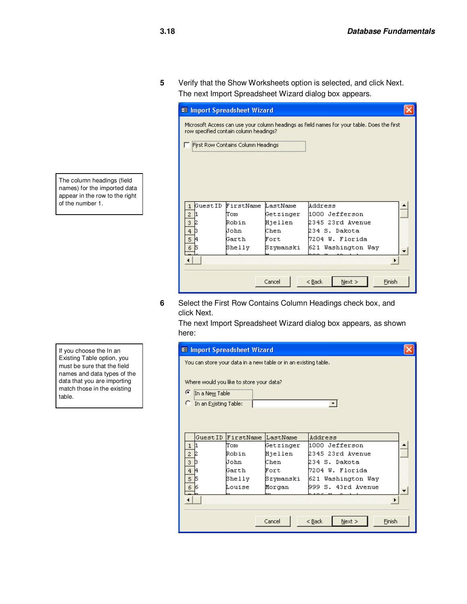**5** Verify that the Show Worksheets option is selected, and click Next. The next Import Spreadsheet Wizard dialog box appears.

| <b>88</b> Import Spreadsheet Wizard                                                                                                   |                                    |           |                            |  |  |  |
|---------------------------------------------------------------------------------------------------------------------------------------|------------------------------------|-----------|----------------------------|--|--|--|
| Microsoft Access can use your column headings as field names for your table. Does the first<br>row specified contain column headings? |                                    |           |                            |  |  |  |
|                                                                                                                                       | First Row Contains Column Headings |           |                            |  |  |  |
|                                                                                                                                       |                                    |           |                            |  |  |  |
|                                                                                                                                       |                                    |           |                            |  |  |  |
|                                                                                                                                       |                                    |           |                            |  |  |  |
|                                                                                                                                       |                                    |           |                            |  |  |  |
| GuestID<br>1                                                                                                                          | FirstName                          | LastName  | Address                    |  |  |  |
| $\overline{c}$                                                                                                                        | lTom                               | Getzinger | 1000 Jefferson             |  |  |  |
| 3                                                                                                                                     | Robin                              | Hjellen   | 2345 23rd Avenue           |  |  |  |
| 4                                                                                                                                     | John                               | Chen      | 234 S. Dakota              |  |  |  |
| 5                                                                                                                                     | Garth                              | Fort      | 7204 W. Florida            |  |  |  |
| 6                                                                                                                                     | Shelly                             | Szymanski | 621 Washington Way         |  |  |  |
|                                                                                                                                       |                                    |           |                            |  |  |  |
|                                                                                                                                       |                                    |           |                            |  |  |  |
|                                                                                                                                       |                                    |           |                            |  |  |  |
|                                                                                                                                       |                                    | Cancel    | Finish<br>$<$ Back<br>Next |  |  |  |
|                                                                                                                                       |                                    |           |                            |  |  |  |

**6** Select the First Row Contains Column Headings check box, and click Next.

The next Import Spreadsheet Wizard dialog box appears, as shown here:

| <b>B</b> Import Spreadsheet Wizard |                       |                                          |                                                                 |                            |  |
|------------------------------------|-----------------------|------------------------------------------|-----------------------------------------------------------------|----------------------------|--|
|                                    |                       |                                          | You can store your data in a new table or in an existing table. |                            |  |
|                                    |                       |                                          |                                                                 |                            |  |
|                                    |                       | Where would you like to store your data? |                                                                 |                            |  |
| G                                  | In a New Table        |                                          |                                                                 |                            |  |
|                                    | In an Existing Table: |                                          |                                                                 |                            |  |
|                                    |                       |                                          |                                                                 |                            |  |
|                                    |                       |                                          |                                                                 |                            |  |
|                                    |                       |                                          |                                                                 |                            |  |
|                                    | GuestID               | FirstName                                | LastName                                                        | Address                    |  |
| 1                                  |                       | Tom                                      | Getzinger                                                       | 1000 Jefferson             |  |
| 2                                  |                       | Robin                                    | Hjellen                                                         | 2345 23rd Avenue           |  |
| 3                                  |                       | John                                     | Chen                                                            | 234 S. Dakota              |  |
| 4                                  |                       | Garth                                    | Fort                                                            | 7204 W. Florida            |  |
| 5                                  |                       | Shelly                                   | Szymanski                                                       | 621 Washington Way         |  |
| 6                                  |                       | Louise                                   | Morgan                                                          | 999 S. 43rd Avenue         |  |
|                                    |                       |                                          |                                                                 |                            |  |
|                                    |                       |                                          |                                                                 |                            |  |
|                                    |                       |                                          |                                                                 |                            |  |
|                                    |                       |                                          | Cancel                                                          | Next<br>Finish<br>$<$ Back |  |
|                                    |                       |                                          |                                                                 |                            |  |

The column headings (field names) for the imported data appear in the row to the right of the number 1.

If you choose the In an Existing Table option, you must be sure that the field names and data types of the data that you are importing match those in the existing table.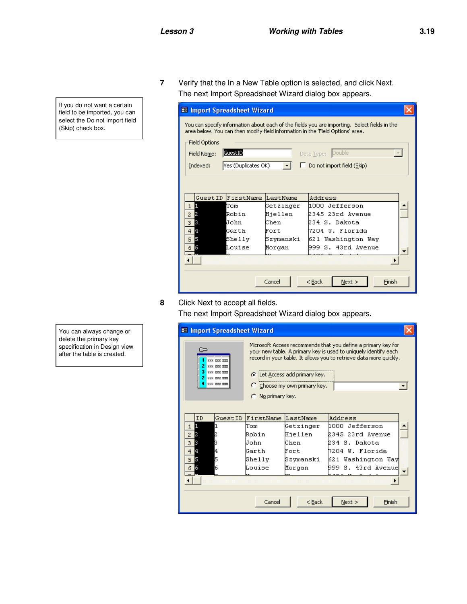If you do not want a certain field to be imported, you can select the Do not import field (Skip) check box.

**7** Verify that the In a New Table option is selected, and click Next. The next Import Spreadsheet Wizard dialog box appears.

| <b>ES</b> Import Spreadsheet Wizard                                                                                                                                           |                     |           |                                   |  |  |  |
|-------------------------------------------------------------------------------------------------------------------------------------------------------------------------------|---------------------|-----------|-----------------------------------|--|--|--|
| You can specify information about each of the fields you are importing,Select fields in the<br>area below. You can then modify field information in the 'Field Options' area. |                     |           |                                   |  |  |  |
| Field Options                                                                                                                                                                 |                     |           |                                   |  |  |  |
| <b>GuestID</b><br>Double<br>Field Name:<br>Data Type:                                                                                                                         |                     |           |                                   |  |  |  |
| Indexed:                                                                                                                                                                      | Yes (Duplicates OK) |           | $\Box$ Do not import field (Skip) |  |  |  |
|                                                                                                                                                                               |                     |           |                                   |  |  |  |
|                                                                                                                                                                               |                     |           |                                   |  |  |  |
|                                                                                                                                                                               | GuestID FirstName   | LastName  | Address                           |  |  |  |
| П<br>$\mathbf{1}$                                                                                                                                                             | Tom                 | Getzinger | 1000 Jefferson                    |  |  |  |
| 12<br>$\overline{c}$                                                                                                                                                          | Robin               | Hjellen   | 2345 23rd Avenue                  |  |  |  |
| 3<br>3                                                                                                                                                                        | John                | Chen      | 234 S. Dakota                     |  |  |  |
| 4<br>$\overline{4}$                                                                                                                                                           | Garth               | Fort      | 7204 W. Florida                   |  |  |  |
| l5<br>5                                                                                                                                                                       | Shelly              | Szymanski | 621 Washington Way                |  |  |  |
| 6<br>6                                                                                                                                                                        | Louise              | Morgan    | 999 S. 43rd Avenue                |  |  |  |
|                                                                                                                                                                               |                     |           |                                   |  |  |  |
|                                                                                                                                                                               |                     |           |                                   |  |  |  |
|                                                                                                                                                                               |                     |           |                                   |  |  |  |
|                                                                                                                                                                               |                     | Cancel    | Finish<br>$<$ Back<br>Next        |  |  |  |

**8** Click Next to accept all fields.

The next Import Spreadsheet Wizard dialog box appears.

| <b>B</b> Import Spreadsheet Wizard                                                                                                                                                                                                                                                                                                                                                                                                           |           |           |                    |  |  |  |
|----------------------------------------------------------------------------------------------------------------------------------------------------------------------------------------------------------------------------------------------------------------------------------------------------------------------------------------------------------------------------------------------------------------------------------------------|-----------|-----------|--------------------|--|--|--|
| Microsoft Access recommends that you define a primary key for<br><b>Second</b><br>your new table. A primary key is used to uniquely identify each<br>record in your table. It allows you to retrieve data more quickly.<br><b>888 888 888</b><br>2<br><b>888 888 888</b><br>3<br><b>EXX XXX XXX</b><br><b>C</b> Let Access add primary key.<br><b>EXX XXX XXX</b><br><b>888 888 888</b><br>C Choose my own primary key.<br>C No primary key. |           |           |                    |  |  |  |
| GuestID<br>ID                                                                                                                                                                                                                                                                                                                                                                                                                                | FirstName | LastName  | Address            |  |  |  |
| н<br>$\mathbf{1}$                                                                                                                                                                                                                                                                                                                                                                                                                            | lTom      | Getzinger | 1000 Jefferson     |  |  |  |
| $\overline{c}$<br>12                                                                                                                                                                                                                                                                                                                                                                                                                         | Robin     | Hjellen   | 2345 23rd Avenue   |  |  |  |
| 13<br>3                                                                                                                                                                                                                                                                                                                                                                                                                                      | John      | Chen      | 234 S. Dakota      |  |  |  |
| 14<br>$\overline{4}$                                                                                                                                                                                                                                                                                                                                                                                                                         | Garth     | Fort      | 7204 W. Florida    |  |  |  |
| 15<br>5<br>5                                                                                                                                                                                                                                                                                                                                                                                                                                 | Shelly    | Szymanski | 621 Washington Way |  |  |  |
| 6<br>16<br>6                                                                                                                                                                                                                                                                                                                                                                                                                                 | Louise    | Morgan    | 999 S. 43rd Avenue |  |  |  |
|                                                                                                                                                                                                                                                                                                                                                                                                                                              |           |           |                    |  |  |  |
|                                                                                                                                                                                                                                                                                                                                                                                                                                              | Cancel    | $<$ Back  | Finish<br>Next     |  |  |  |

You can always change or delete the primary key specification in Design view after the table is created.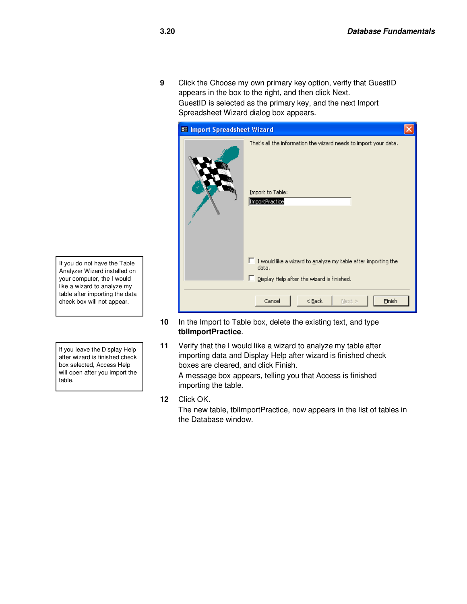**9** Click the Choose my own primary key option, verify that GuestID appears in the box to the right, and then click Next. GuestID is selected as the primary key, and the next Import Spreadsheet Wizard dialog box appears.

| <b>88</b> Import Spreadsheet Wizard                                                                                         |  |  |  |  |  |  |
|-----------------------------------------------------------------------------------------------------------------------------|--|--|--|--|--|--|
| That's all the information the wizard needs to import your data.<br>Import to Table:<br>ImportPractice                      |  |  |  |  |  |  |
| $\Box$ I would like a wizard to analyze my table after importing the<br>data.<br>Display Help after the wizard is finished. |  |  |  |  |  |  |
| Cancel<br>$<$ Back<br>Next ><br>Finish                                                                                      |  |  |  |  |  |  |

- **10** In the Import to Table box, delete the existing text, and type **tblImportPractice**.
- **11** Verify that the I would like a wizard to analyze my table after importing data and Display Help after wizard is finished check boxes are cleared, and click Finish. A message box appears, telling you that Access is finished importing the table.
- **12** Click OK.

The new table, tblImportPractice, now appears in the list of tables in the Database window.

If you do not have the Table Analyzer Wizard installed on your computer, the I would like a wizard to analyze my table after importing the data check box will not appear.

If you leave the Display Help after wizard is finished check box selected, Access Help will open after you import the table.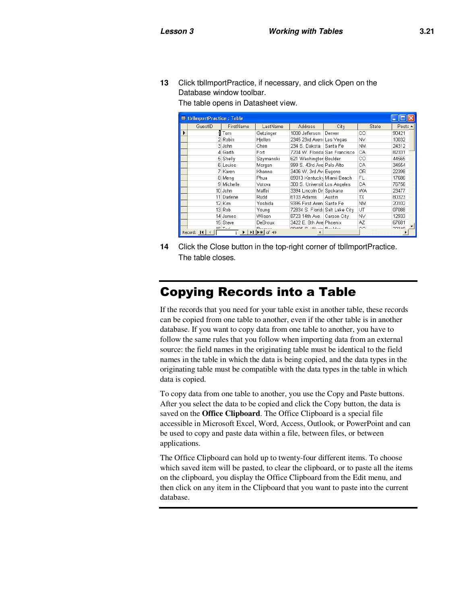**13** Click tblImportPractice, if necessary, and click Open on the Database window toolbar.

The table opens in Datasheet view.

| <b>■ tblImportPractice: Table</b> |            |                         |                 |                                 |             |           |         |
|-----------------------------------|------------|-------------------------|-----------------|---------------------------------|-------------|-----------|---------|
|                                   | GuestID    | FirstName               | LastName        | <b>Address</b>                  | City        | State     | Posta - |
|                                   |            | il Tom                  | Getzinger       | 1000 Jefferson                  | Denver      | CО        | 90421   |
|                                   |            | 2 Robin                 | Hjellen         | 2345 23rd Aveni Las Vegas       |             | ΝV        | 10032   |
|                                   |            | 3 John                  | Chen            | 234 S. Dakota                   | Santa Fe    | <b>NM</b> | 24312   |
|                                   |            | 4 Garth                 | Fort            | 7204 W. Florida San Francisco   |             | CA        | 82331   |
|                                   |            | 5 Shelly                | Szymanski       | 621 Washingtor Boulder          |             | CО        | 44565   |
|                                   |            | 6 Louise                | Morgan          | 999 S. 43rd Ave Palo Alto       |             | CA        | 34554   |
|                                   |            | 7 Karen                 | Khanna          | 3406 W. 3rd Aw Eugene           |             | 0R        | 22398   |
|                                   |            | 8 Meng                  | Phua            | 89013 Kentucky Miami Beach      |             | FL        | 17686   |
|                                   |            | 9 Michelle              | Votova          | 300 S. Universit Los Angeles    |             | CA        | 76756   |
|                                   |            | 10 John                 | Maffei          | 3394 Lincoln Dr  Spokane        |             | WA        | 23477   |
|                                   |            | 11 Darlene              | Rudd            | 6103 Adams                      | Austin      | TX        | 80323   |
|                                   |            | 12 Kim                  | Yoshida         | 9395 First Aven Sante Fe        |             | <b>NM</b> | 20102   |
|                                   |            | 13 Rob                  | Young           | 72834 S. Florida Salt Lake City |             | UT        | 07088   |
|                                   |            | 14 James                | Wilson          | 8723 14th Ave.                  | Carson City | ΝV        | 12933   |
|                                   |            | 15 Steve                | DeBroux         | 3422 E. 8th Avel Phoenix        |             | AZ        | 67681   |
|                                   | Record: 14 | $AC$ T <sub>o</sub> $A$ | Dramar<br>of 49 | OD 405 C. Million Doubler       |             | CO.       | ano so  |

**14** Click the Close button in the top-right corner of tblImportPractice. The table closes.

### Copying Records into a Table

If the records that you need for your table exist in another table, these records can be copied from one table to another, even if the other table is in another database. If you want to copy data from one table to another, you have to follow the same rules that you follow when importing data from an external source: the field names in the originating table must be identical to the field names in the table in which the data is being copied, and the data types in the originating table must be compatible with the data types in the table in which data is copied.

To copy data from one table to another, you use the Copy and Paste buttons. After you select the data to be copied and click the Copy button, the data is saved on the **Office Clipboard**. The Office Clipboard is a special file accessible in Microsoft Excel, Word, Access, Outlook, or PowerPoint and can be used to copy and paste data within a file, between files, or between applications.

The Office Clipboard can hold up to twenty-four different items. To choose which saved item will be pasted, to clear the clipboard, or to paste all the items on the clipboard, you display the Office Clipboard from the Edit menu, and then click on any item in the Clipboard that you want to paste into the current database.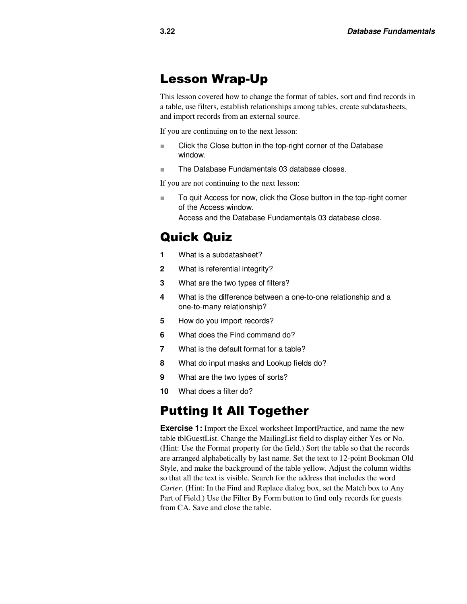#### Lesson Wrap-Up

This lesson covered how to change the format of tables, sort and find records in a table, use filters, establish relationships among tables, create subdatasheets, and import records from an external source.

If you are continuing on to the next lesson:

- Click the Close button in the top-right corner of the Database window.
- The Database Fundamentals 03 database closes.

If you are not continuing to the next lesson:

■ To quit Access for now, click the Close button in the top-right corner of the Access window. Access and the Database Fundamentals 03 database close.

## Quick Quiz

- **1** What is a subdatasheet?
- **2** What is referential integrity?
- **3** What are the two types of filters?
- **4** What is the difference between a one-to-one relationship and a one-to-many relationship?
- **5** How do you import records?
- **6** What does the Find command do?
- **7** What is the default format for a table?
- **8** What do input masks and Lookup fields do?
- **9** What are the two types of sorts?
- **10** What does a filter do?

#### Putting It All Together

**Exercise 1:** Import the Excel worksheet ImportPractice, and name the new table tblGuestList. Change the MailingList field to display either Yes or No. (Hint: Use the Format property for the field.) Sort the table so that the records are arranged alphabetically by last name. Set the text to 12-point Bookman Old Style, and make the background of the table yellow. Adjust the column widths so that all the text is visible. Search for the address that includes the word *Carter*. (Hint: In the Find and Replace dialog box, set the Match box to Any Part of Field.) Use the Filter By Form button to find only records for guests from CA. Save and close the table.